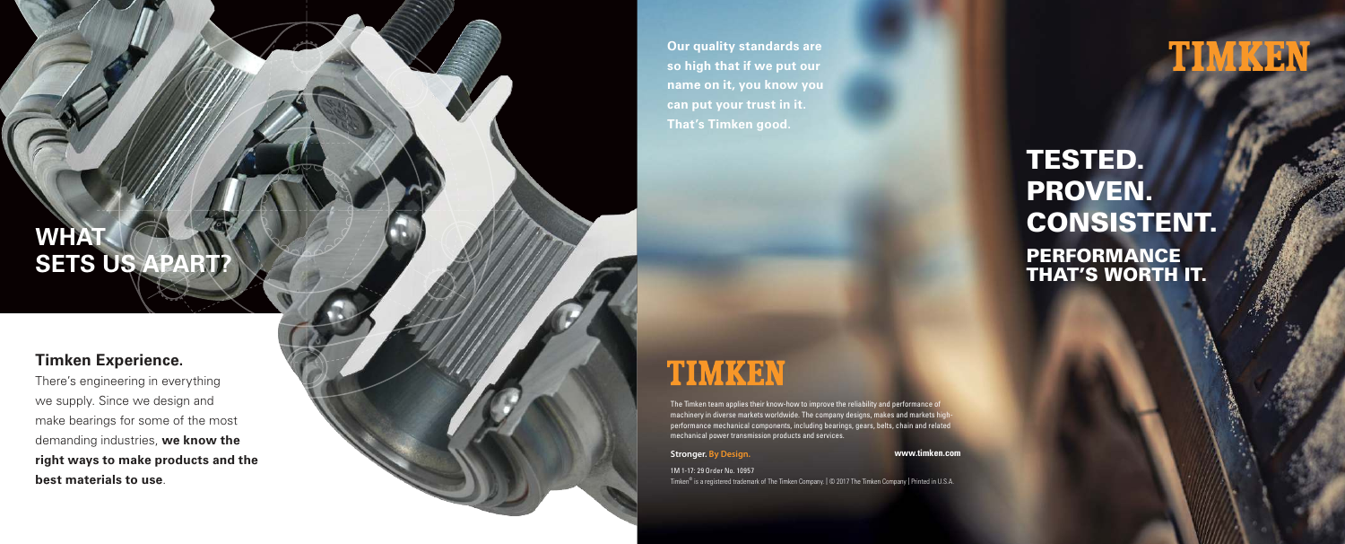## **WHA SETS US APART?**

#### **Timken Experience.**

There's engineering in everything we supply. Since we design and make bearings for some of the most demanding industries, **we know the right ways to make products and the best materials to use**.

**Our quality standards are so high that if we put our name on it, you know you can put your trust in it. That's Timken good.**

# **TIMKEN**

The Timken team applies their know-how to improve the reliability and performance of machinery in diverse markets worldwide. The company designs, makes and markets highperformance mechanical components, including bearings, gears, belts, chain and related mechanical power transmission products and services.

**Stronger. By Design.**

**www.timken.com**

1M 1-17: 29 Order No. 10957 Timken ® is a registered trademark of The Timken Company. | © 2017 The Timken Company | Printed in U.S.A.



TESTED. PROVEN. CONSISTENT. **PERFORMANCE** THAT'S WORTH IT.